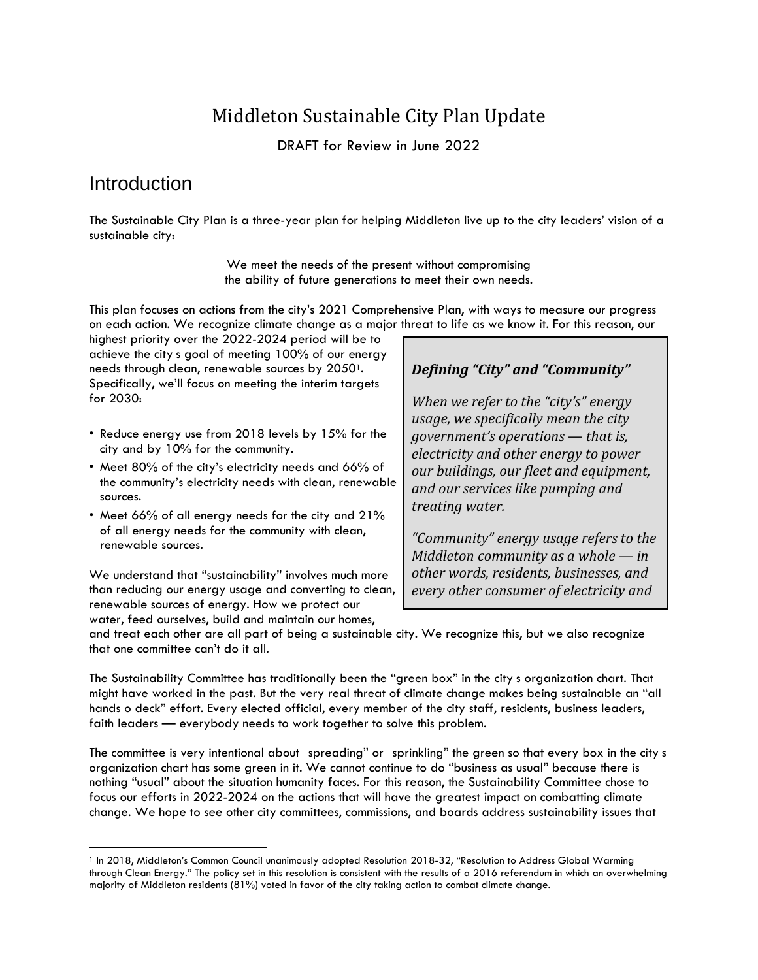# Middleton Sustainable City Plan Update

DRAFT for Review in June 2022

## **Introduction**

The Sustainable City Plan is a three-year plan for helping Middleton live up to the city leaders' vision of a sustainable city:

> We meet the needs of the present without compromising the ability of future generations to meet their own needs.

This plan focuses on actions from the city's 2021 Comprehensive Plan, with ways to measure our progress on each action. We recognize climate change as a major threat to life as we know it. For this reason, our

highest priority over the 2022-2024 period will be to achieve the city s goal of meeting 100% of our energy needs through clean, renewable sources by 2050<sup>1</sup>. Specifically, we'll focus on meeting the interim targets for 2030:

- Reduce energy use from 2018 levels by 15% for the city and by 10% for the community.
- Meet 80% of the city's electricity needs and 66% of the community's electricity needs with clean, renewable sources.
- Meet 66% of all energy needs for the city and 21% of all energy needs for the community with clean, renewable sources.

We understand that "sustainability" involves much more than reducing our energy usage and converting to clean, renewable sources of energy. How we protect our water, feed ourselves, build and maintain our homes,

### *Defining "City" and "Community"*

*When we refer to the "city's" energy usage, we specifically mean the city government's operations — that is, electricity and other energy to power our buildings, our fleet and equipment, and our services like pumping and treating water.*

*"Community" energy usage refers to the Middleton community as a whole — in other words, residents, businesses, and every other consumer of electricity and*

*other energy resources within the*

and treat each other are all part of being a sustainable city. We recognize this, but we also recognize that one committee can't do it all.

The Sustainability Committee has traditionally been the "green box" in the city s organization chart. That might have worked in the past. But the very real threat of climate change makes being sustainable an "all hands o deck" effort. Every elected official, every member of the city staff, residents, business leaders, faith leaders — everybody needs to work together to solve this problem.

The committee is very intentional about spreading" or sprinkling" the green so that every box in the city s organization chart has some green in it. We cannot continue to do "business as usual" because there is nothing "usual" about the situation humanity faces. For this reason, the Sustainability Committee chose to focus our efforts in 2022-2024 on the actions that will have the greatest impact on combatting climate change. We hope to see other city committees, commissions, and boards address sustainability issues that

<sup>&</sup>lt;sup>1</sup> In 2018, Middleton's Common Council unanimously adopted Resolution 2018-32, "Resolution to Address Global Warming through Clean Energy." The policy set in this resolution is consistent with the results of a 2016 referendum in which an overwhelming majority of Middleton residents (81%) voted in favor of the city taking action to combat climate change.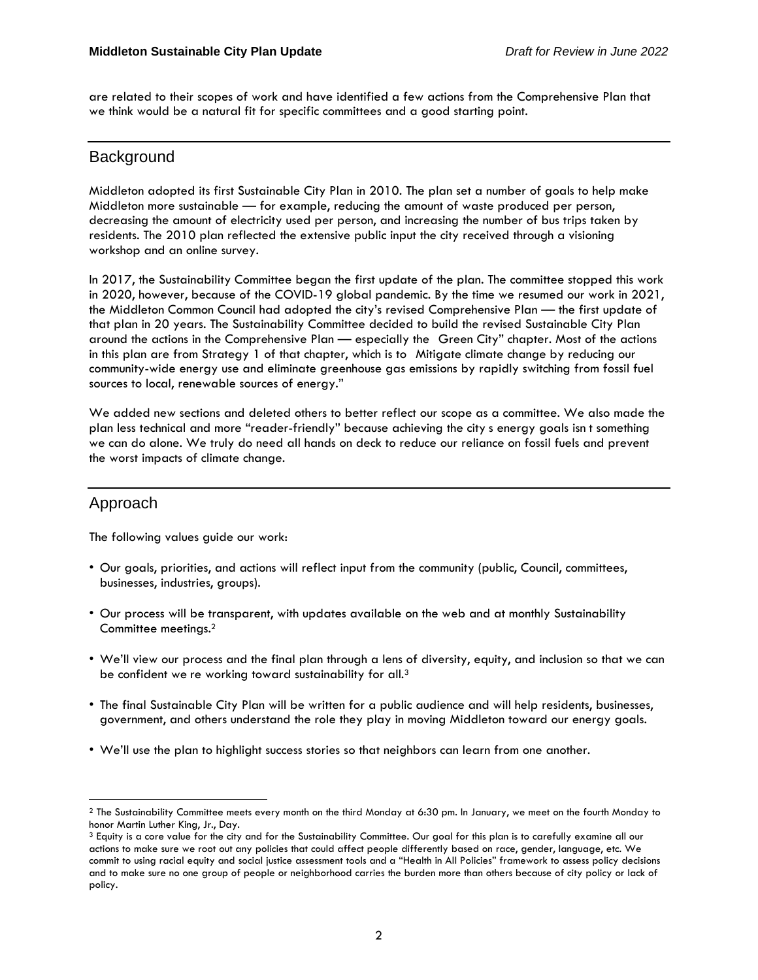are related to their scopes of work and have identified a few actions from the Comprehensive Plan that we think would be a natural fit for specific committees and a good starting point.

### **Background**

Middleton adopted its first Sustainable City Plan in 2010. The plan set a number of goals to help make Middleton more sustainable — for example, reducing the amount of waste produced per person, decreasing the amount of electricity used per person, and increasing the number of bus trips taken by residents. The 2010 plan reflected the extensive public input the city received through a visioning workshop and an online survey.

In 2017, the Sustainability Committee began the first update of the plan. The committee stopped this work in 2020, however, because of the COVID-19 global pandemic. By the time we resumed our work in 2021, the Middleton Common Council had adopted the city's revised Comprehensive Plan — the first update of that plan in 20 years. The Sustainability Committee decided to build the revised Sustainable City Plan around the actions in the Comprehensive Plan — especially the Green City" chapter. Most of the actions in this plan are from Strategy 1 of that chapter, which is to Mitigate climate change by reducing our community-wide energy use and eliminate greenhouse gas emissions by rapidly switching from fossil fuel sources to local, renewable sources of energy."

We added new sections and deleted others to better reflect our scope as a committee. We also made the plan less technical and more "reader-friendly" because achieving the city s energy goals isn t something we can do alone. We truly do need all hands on deck to reduce our reliance on fossil fuels and prevent the worst impacts of climate change.

## Approach

The following values guide our work:

- Our goals, priorities, and actions will reflect input from the community (public, Council, committees, businesses, industries, groups).
- Our process will be transparent, with updates available on the web and at monthly Sustainability Committee meetings.<sup>2</sup>
- We'll view our process and the final plan through a lens of diversity, equity, and inclusion so that we can be confident we re working toward sustainability for all.<sup>3</sup>
- The final Sustainable City Plan will be written for a public audience and will help residents, businesses, government, and others understand the role they play in moving Middleton toward our energy goals.
- We'll use the plan to highlight success stories so that neighbors can learn from one another.

<sup>2</sup> The Sustainability Committee meets every month on the third Monday at 6:30 pm. In January, we meet on the fourth Monday to honor Martin Luther King, Jr., Day.

<sup>3</sup> Equity is a core value for the city and for the Sustainability Committee. Our goal for this plan is to carefully examine all our actions to make sure we root out any policies that could affect people differently based on race, gender, language, etc. We commit to using racial equity and social justice assessment tools and a "Health in All Policies" framework to assess policy decisions and to make sure no one group of people or neighborhood carries the burden more than others because of city policy or lack of policy.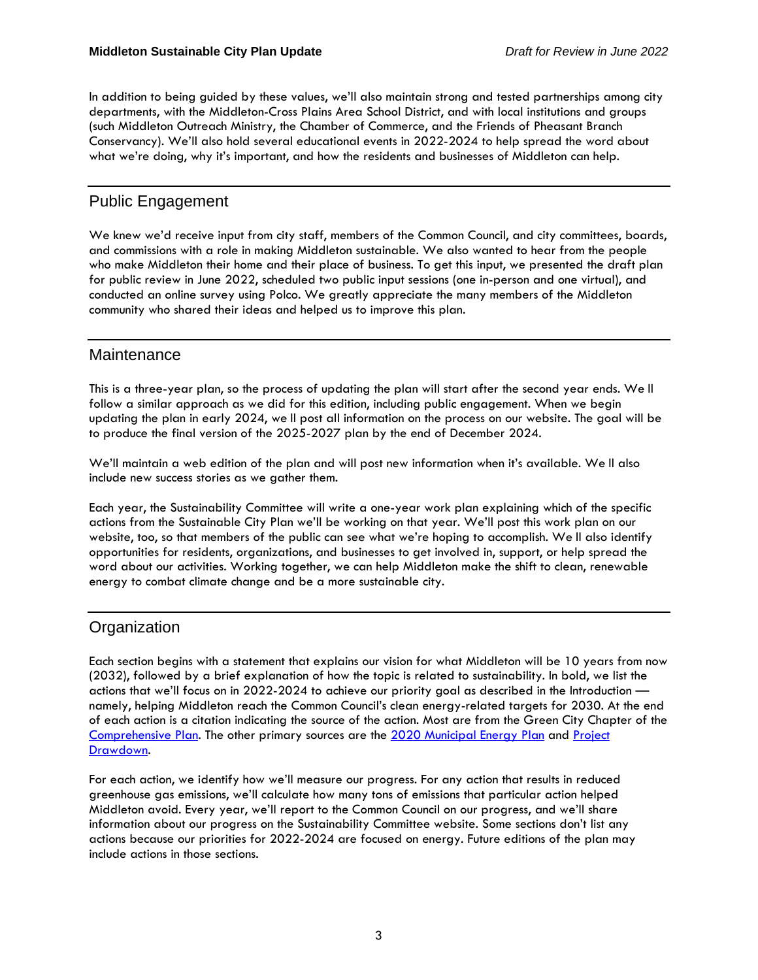In addition to being guided by these values, we'll also maintain strong and tested partnerships among city departments, with the Middleton-Cross Plains Area School District, and with local institutions and groups (such Middleton Outreach Ministry, the Chamber of Commerce, and the Friends of Pheasant Branch Conservancy). We'll also hold several educational events in 2022-2024 to help spread the word about what we're doing, why it's important, and how the residents and businesses of Middleton can help.

## Public Engagement

We knew we'd receive input from city staff, members of the Common Council, and city committees, boards, and commissions with a role in making Middleton sustainable. We also wanted to hear from the people who make Middleton their home and their place of business. To get this input, we presented the draft plan for public review in June 2022, scheduled two public input sessions (one in-person and one virtual), and conducted an online survey using Polco. We greatly appreciate the many members of the Middleton community who shared their ideas and helped us to improve this plan.

### **Maintenance**

This is a three-year plan, so the process of updating the plan will start after the second year ends. We ll follow a similar approach as we did for this edition, including public engagement. When we begin updating the plan in early 2024, we ll post all information on the process on our website. The goal will be to produce the final version of the 2025-2027 plan by the end of December 2024.

We'll maintain a web edition of the plan and will post new information when it's available. We ll also include new success stories as we gather them.

Each year, the Sustainability Committee will write a one-year work plan explaining which of the specific actions from the Sustainable City Plan we'll be working on that year. We'll post this work plan on our website, too, so that members of the public can see what we're hoping to accomplish. We ll also identify opportunities for residents, organizations, and businesses to get involved in, support, or help spread the word about our activities. Working together, we can help Middleton make the shift to clean, renewable energy to combat climate change and be a more sustainable city.

## **Organization**

Each section begins with a statement that explains our vision for what Middleton will be 10 years from now (2032), followed by a brief explanation of how the topic is related to sustainability. In bold, we list the actions that we'll focus on in 2022-2024 to achieve our priority goal as described in the Introduction namely, helping Middleton reach the Common Council's clean energy-related targets for 2030. At the end of each action is a citation indicating the source of the action. Most are from the Green City Chapter of the [Comprehensive](https://www.cityofmiddleton.us/DocumentCenter/View/8030/2021-Comp-Plan_3-2-2021) Plan. The other primary sources are the 2020 [Municipal](https://www.cityofmiddleton.us/DocumentCenter/View/8900/2--OEI-energy-plan---community-chapters) Energy Plan and [Project](https://drawdown.org/solutions) [Drawdown.](https://drawdown.org/solutions)

For each action, we identify how we'll measure our progress. For any action that results in reduced greenhouse gas emissions, we'll calculate how many tons of emissions that particular action helped Middleton avoid. Every year, we'll report to the Common Council on our progress, and we'll share information about our progress on the Sustainability Committee website. Some sections don't list any actions because our priorities for 2022-2024 are focused on energy. Future editions of the plan may include actions in those sections.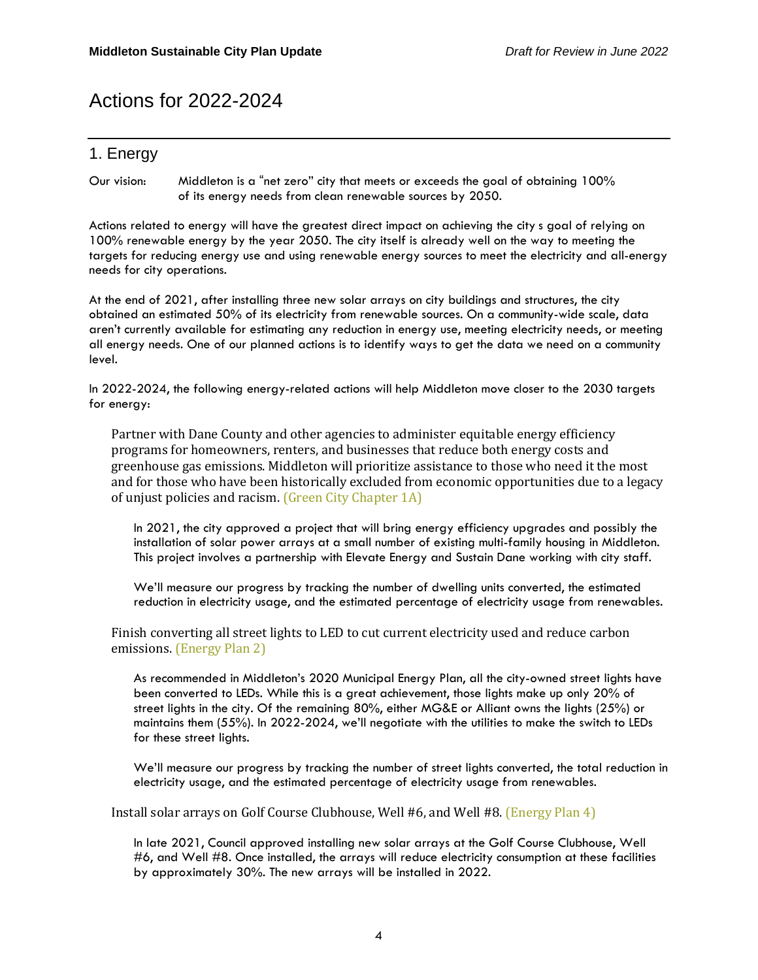# Actions for 2022-2024

## 1. Energy

Our vision: Middleton is a "net zero" city that meets or exceeds the goal of obtaining 100% of its energy needs from clean renewable sources by 2050.

Actions related to energy will have the greatest direct impact on achieving the city s goal of relying on 100% renewable energy by the year 2050. The city itself is already well on the way to meeting the targets for reducing energy use and using renewable energy sources to meet the electricity and all-energy needs for city operations.

At the end of 2021, after installing three new solar arrays on city buildings and structures, the city obtained an estimated 50% of its electricity from renewable sources. On a community-wide scale, data aren't currently available for estimating any reduction in energy use, meeting electricity needs, or meeting all energy needs. One of our planned actions is to identify ways to get the data we need on a community level.

In 2022-2024, the following energy-related actions will help Middleton move closer to the 2030 targets for energy:

Partner with Dane County and other agencies to administer equitable energy efficiency programs for homeowners, renters, and businesses that reduce both energy costs and greenhouse gas emissions. Middleton will prioritize assistance to those who need it the most and for those who have been historically excluded from economic opportunities due to a legacy of unjust policies and racism. (Green City Chapter 1A)

In 2021, the city approved a project that will bring energy efficiency upgrades and possibly the installation of solar power arrays at a small number of existing multi-family housing in Middleton. This project involves a partnership with Elevate Energy and Sustain Dane working with city staff.

We'll measure our progress by tracking the number of dwelling units converted, the estimated reduction in electricity usage, and the estimated percentage of electricity usage from renewables.

Finish converting all street lights to LED to cut current electricity used and reduce carbon emissions. (Energy Plan 2)

As recommended in Middleton's 2020 Municipal Energy Plan, all the city-owned street lights have been converted to LEDs. While this is a great achievement, those lights make up only 20% of street lights in the city. Of the remaining 80%, either MG&E or Alliant owns the lights (25%) or maintains them (55%). In 2022-2024, we'll negotiate with the utilities to make the switch to LEDs for these street lights.

We'll measure our progress by tracking the number of street lights converted, the total reduction in electricity usage, and the estimated percentage of electricity usage from renewables.

Install solar arrays on Golf Course Clubhouse, Well #6, and Well #8. (Energy Plan 4)

In late 2021, Council approved installing new solar arrays at the Golf Course Clubhouse, Well #6, and Well #8. Once installed, the arrays will reduce electricity consumption at these facilities by approximately 30%. The new arrays will be installed in 2022.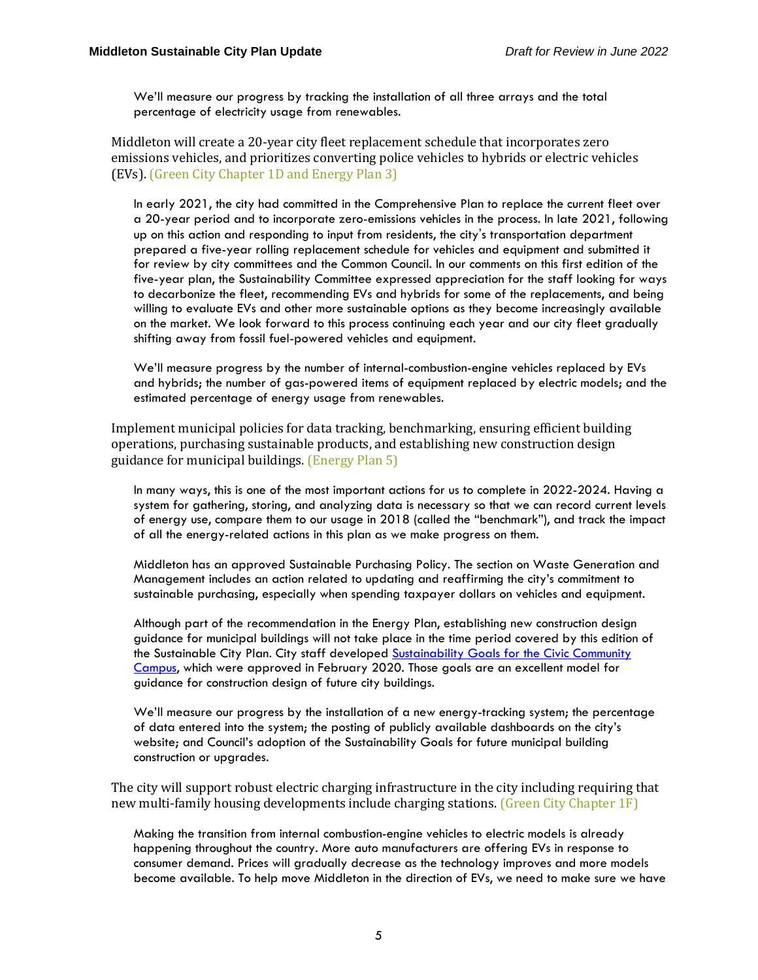We'll measure our progress by tracking the installation of all three arrays and the total percentage of electricity usage from renewables.

Middleton will create a 20-year city fleet replacement schedule that incorporates zero emissions vehicles, and prioritizes converting police vehicles to hybrids or electric vehicles (EVs). (Green City Chapter 1D and Energy Plan 3)

In early 2021, the city had committed in the Comprehensive Plan to replace the current fleet over a 20-year period and to incorporate zero-emissions vehicles in the process. In late 2021, following up on this action and responding to input from residents, the city's transportation department prepared a five-year rolling replacement schedule for vehicles and equipment and submitted it for review by city committees and the Common Council. In our comments on this first edition of the five-year plan, the Sustainability Committee expressed appreciation for the staff looking for ways to decarbonize the fleet, recommending EVs and hybrids for some of the replacements, and being willing to evaluate EVs and other more sustainable options as they become increasingly available on the market. We look forward to this process continuing each year and our city fleet gradually shifting away from fossil fuel-powered vehicles and equipment.

We'll measure progress by the number of internal-combustion-engine vehicles replaced by EVs and hybrids; the number of gas-powered items of equipment replaced by electric models; and the estimated percentage of energy usage from renewables.

Implement municipal policies for data tracking, benchmarking, ensuring efficient building operations, purchasing sustainable products, and establishing new construction design guidance for municipal buildings. (Energy Plan 5)

In many ways, this is one of the most important actions for us to complete in 2022-2024. Having a system for gathering, storing, and analyzing data is necessary so that we can record current levels of energy use, compare them to our usage in 2018 (called the "benchmark"), and track the impact of all the energy-related actions in this plan as we make progress on them.

Middleton has an approved Sustainable Purchasing Policy. The section on Waste Generation and Management includes an action related to updating and reaffirming the city's commitment to sustainable purchasing, especially when spending taxpayer dollars on vehicles and equipment.

Although part of the recommendation in the Energy Plan, establishing new construction design guidance for municipal buildings will not take place in the time period covered by this edition of the Sustainable City Plan. City staff developed [Sustainability](https://www.cityofmiddleton.us/DocumentCenter/View/7035/Sustainability-Goals-for-Civic-Community-Campus_February-2020) Goals for the Civic Community [Campus,](https://www.cityofmiddleton.us/DocumentCenter/View/7035/Sustainability-Goals-for-Civic-Community-Campus_February-2020) which were approved in February 2020. Those goals are an excellent model for guidance for construction design of future city buildings.

We'll measure our progress by the installation of a new energy-tracking system; the percentage of data entered into the system; the posting of publicly available dashboards on the city's website; and Council's adoption of the Sustainability Goals for future municipal building construction or upgrades.

The city will support robust electric charging infrastructure in the city including requiring that new multi-family housing developments include charging stations. (Green City Chapter 1F)

Making the transition from internal combustion-engine vehicles to electric models is already happening throughout the country. More auto manufacturers are offering EVs in response to consumer demand. Prices will gradually decrease as the technology improves and more models become available. To help move Middleton in the direction of EVs, we need to make sure we have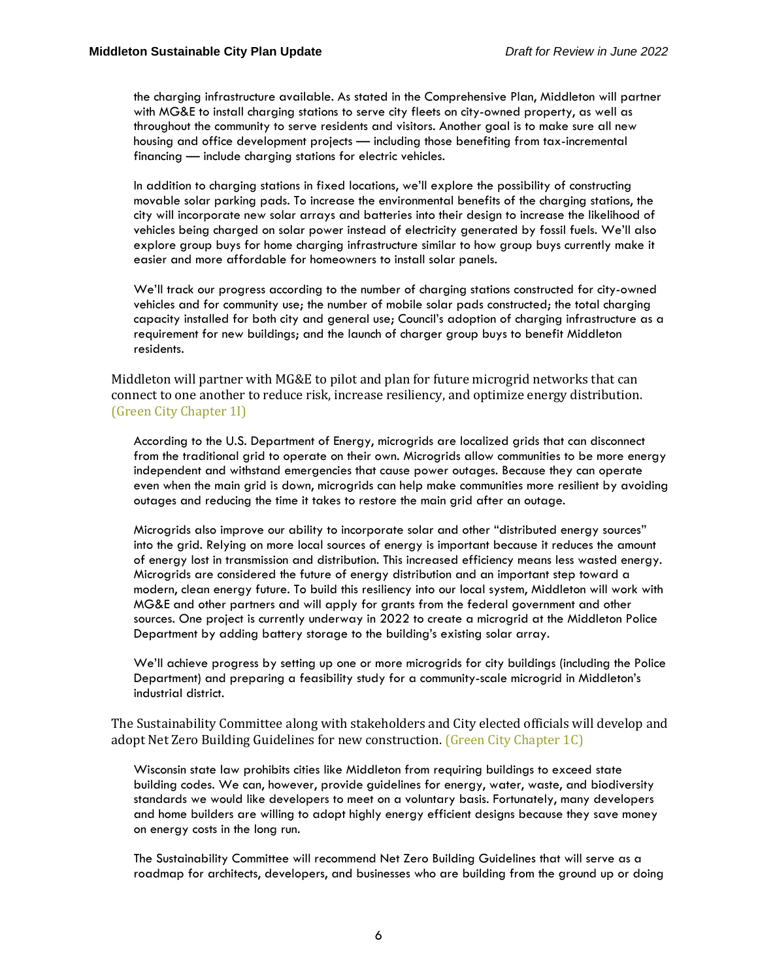the charging infrastructure available. As stated in the Comprehensive Plan, Middleton will partner with MG&E to install charging stations to serve city fleets on city-owned property, as well as throughout the community to serve residents and visitors. Another goal is to make sure all new housing and office development projects — including those benefiting from tax-incremental financing — include charging stations for electric vehicles.

In addition to charging stations in fixed locations, we'll explore the possibility of constructing movable solar parking pads. To increase the environmental benefits of the charging stations, the city will incorporate new solar arrays and batteries into their design to increase the likelihood of vehicles being charged on solar power instead of electricity generated by fossil fuels. We'll also explore group buys for home charging infrastructure similar to how group buys currently make it easier and more affordable for homeowners to install solar panels.

We'll track our progress according to the number of charging stations constructed for city-owned vehicles and for community use; the number of mobile solar pads constructed; the total charging capacity installed for both city and general use; Council's adoption of charging infrastructure as a requirement for new buildings; and the launch of charger group buys to benefit Middleton residents.

Middleton will partner with MG&E to pilot and plan for future microgrid networks that can connect to one another to reduce risk, increase resiliency, and optimize energy distribution. (Green City Chapter 1I)

According to the U.S. Department of Energy, microgrids are localized grids that can disconnect from the traditional grid to operate on their own. Microgrids allow communities to be more energy independent and withstand emergencies that cause power outages. Because they can operate even when the main grid is down, microgrids can help make communities more resilient by avoiding outages and reducing the time it takes to restore the main grid after an outage.

Microgrids also improve our ability to incorporate solar and other "distributed energy sources" into the grid. Relying on more local sources of energy is important because it reduces the amount of energy lost in transmission and distribution. This increased efficiency means less wasted energy. Microgrids are considered the future of energy distribution and an important step toward a modern, clean energy future. To build this resiliency into our local system, Middleton will work with MG&E and other partners and will apply for grants from the federal government and other sources. One project is currently underway in 2022 to create a microgrid at the Middleton Police Department by adding battery storage to the building's existing solar array.

We'll achieve progress by setting up one or more microgrids for city buildings (including the Police Department) and preparing a feasibility study for a community-scale microgrid in Middleton's industrial district.

The Sustainability Committee along with stakeholders and City elected officials will develop and adopt Net Zero Building Guidelines for new construction. (Green City Chapter 1C)

Wisconsin state law prohibits cities like Middleton from requiring buildings to exceed state building codes. We can, however, provide guidelines for energy, water, waste, and biodiversity standards we would like developers to meet on a voluntary basis. Fortunately, many developers and home builders are willing to adopt highly energy efficient designs because they save money on energy costs in the long run.

The Sustainability Committee will recommend Net Zero Building Guidelines that will serve as a roadmap for architects, developers, and businesses who are building from the ground up or doing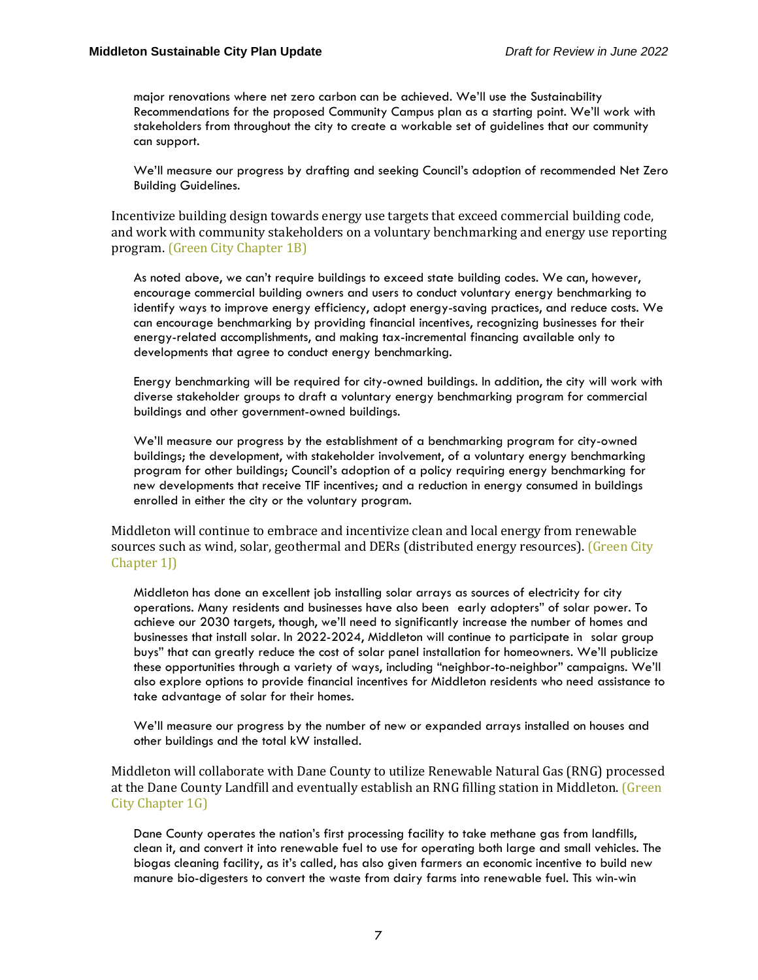major renovations where net zero carbon can be achieved. We'll use the Sustainability Recommendations for the proposed Community Campus plan as a starting point. We'll work with stakeholders from throughout the city to create a workable set of guidelines that our community can support.

We'll measure our progress by drafting and seeking Council's adoption of recommended Net Zero Building Guidelines.

Incentivize building design towards energy use targets that exceed commercial building code, and work with community stakeholders on a voluntary benchmarking and energy use reporting program. (Green City Chapter 1B)

As noted above, we can't require buildings to exceed state building codes. We can, however, encourage commercial building owners and users to conduct voluntary energy benchmarking to identify ways to improve energy efficiency, adopt energy-saving practices, and reduce costs. We can encourage benchmarking by providing financial incentives, recognizing businesses for their energy-related accomplishments, and making tax-incremental financing available only to developments that agree to conduct energy benchmarking.

Energy benchmarking will be required for city-owned buildings. In addition, the city will work with diverse stakeholder groups to draft a voluntary energy benchmarking program for commercial buildings and other government-owned buildings.

We'll measure our progress by the establishment of a benchmarking program for city-owned buildings; the development, with stakeholder involvement, of a voluntary energy benchmarking program for other buildings; Council's adoption of a policy requiring energy benchmarking for new developments that receive TIF incentives; and a reduction in energy consumed in buildings enrolled in either the city or the voluntary program.

Middleton will continue to embrace and incentivize clean and local energy from renewable sources such as wind, solar, geothermal and DERs (distributed energy resources). (Green City Chapter 1<sup>1</sup>

Middleton has done an excellent job installing solar arrays as sources of electricity for city operations. Many residents and businesses have also been early adopters" of solar power. To achieve our 2030 targets, though, we'll need to significantly increase the number of homes and businesses that install solar. In 2022-2024, Middleton will continue to participate in solar group buys" that can greatly reduce the cost of solar panel installation for homeowners. We'll publicize these opportunities through a variety of ways, including "neighbor-to-neighbor" campaigns. We'll also explore options to provide financial incentives for Middleton residents who need assistance to take advantage of solar for their homes.

We'll measure our progress by the number of new or expanded arrays installed on houses and other buildings and the total kW installed.

Middleton will collaborate with Dane County to utilize Renewable Natural Gas (RNG) processed at the Dane County Landfill and eventually establish an RNG filling station in Middleton. (Green City Chapter 1G)

Dane County operates the nation's first processing facility to take methane gas from landfills, clean it, and convert it into renewable fuel to use for operating both large and small vehicles. The biogas cleaning facility, as it's called, has also given farmers an economic incentive to build new manure bio-digesters to convert the waste from dairy farms into renewable fuel. This win-win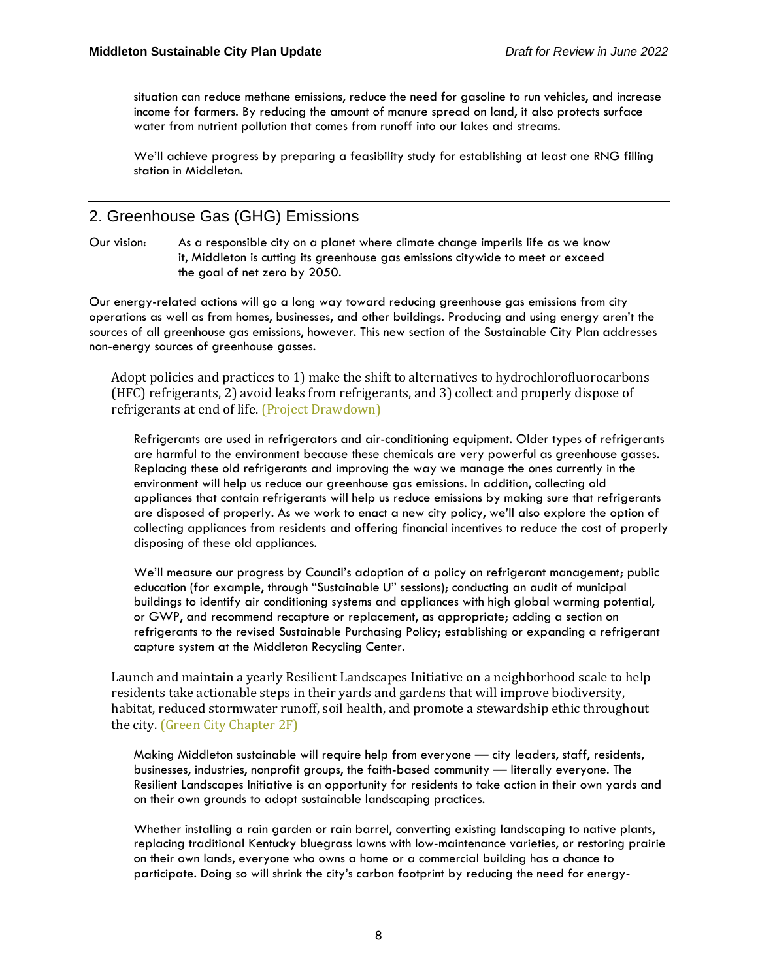situation can reduce methane emissions, reduce the need for gasoline to run vehicles, and increase income for farmers. By reducing the amount of manure spread on land, it also protects surface water from nutrient pollution that comes from runoff into our lakes and streams.

We'll achieve progress by preparing a feasibility study for establishing at least one RNG filling station in Middleton.

## 2. Greenhouse Gas (GHG) Emissions

Our vision: As a responsible city on a planet where climate change imperils life as we know it, Middleton is cutting its greenhouse gas emissions citywide to meet or exceed the goal of net zero by 2050.

Our energy-related actions will go a long way toward reducing greenhouse gas emissions from city operations as well as from homes, businesses, and other buildings. Producing and using energy aren't the sources of all greenhouse gas emissions, however. This new section of the Sustainable City Plan addresses non-energy sources of greenhouse gasses.

Adopt policies and practices to 1) make the shift to alternatives to hydrochlorofluorocarbons (HFC) refrigerants, 2) avoid leaks from refrigerants, and 3) collect and properly dispose of refrigerants at end of life. (Project Drawdown)

Refrigerants are used in refrigerators and air-conditioning equipment. Older types of refrigerants are harmful to the environment because these chemicals are very powerful as greenhouse gasses. Replacing these old refrigerants and improving the way we manage the ones currently in the environment will help us reduce our greenhouse gas emissions. In addition, collecting old appliances that contain refrigerants will help us reduce emissions by making sure that refrigerants are disposed of properly. As we work to enact a new city policy, we'll also explore the option of collecting appliances from residents and offering financial incentives to reduce the cost of properly disposing of these old appliances.

We'll measure our progress by Council's adoption of a policy on refrigerant management; public education (for example, through "Sustainable U" sessions); conducting an audit of municipal buildings to identify air conditioning systems and appliances with high global warming potential, or GWP, and recommend recapture or replacement, as appropriate; adding a section on refrigerants to the revised Sustainable Purchasing Policy; establishing or expanding a refrigerant capture system at the Middleton Recycling Center.

Launch and maintain a yearly Resilient Landscapes Initiative on a neighborhood scale to help residents take actionable steps in their yards and gardens that will improve biodiversity, habitat, reduced stormwater runoff, soil health, and promote a stewardship ethic throughout the city. (Green City Chapter 2F)

Making Middleton sustainable will require help from everyone — city leaders, staff, residents, businesses, industries, nonprofit groups, the faith-based community — literally everyone. The Resilient Landscapes Initiative is an opportunity for residents to take action in their own yards and on their own grounds to adopt sustainable landscaping practices.

Whether installing a rain garden or rain barrel, converting existing landscaping to native plants, replacing traditional Kentucky bluegrass lawns with low-maintenance varieties, or restoring prairie on their own lands, everyone who owns a home or a commercial building has a chance to participate. Doing so will shrink the city's carbon footprint by reducing the need for energy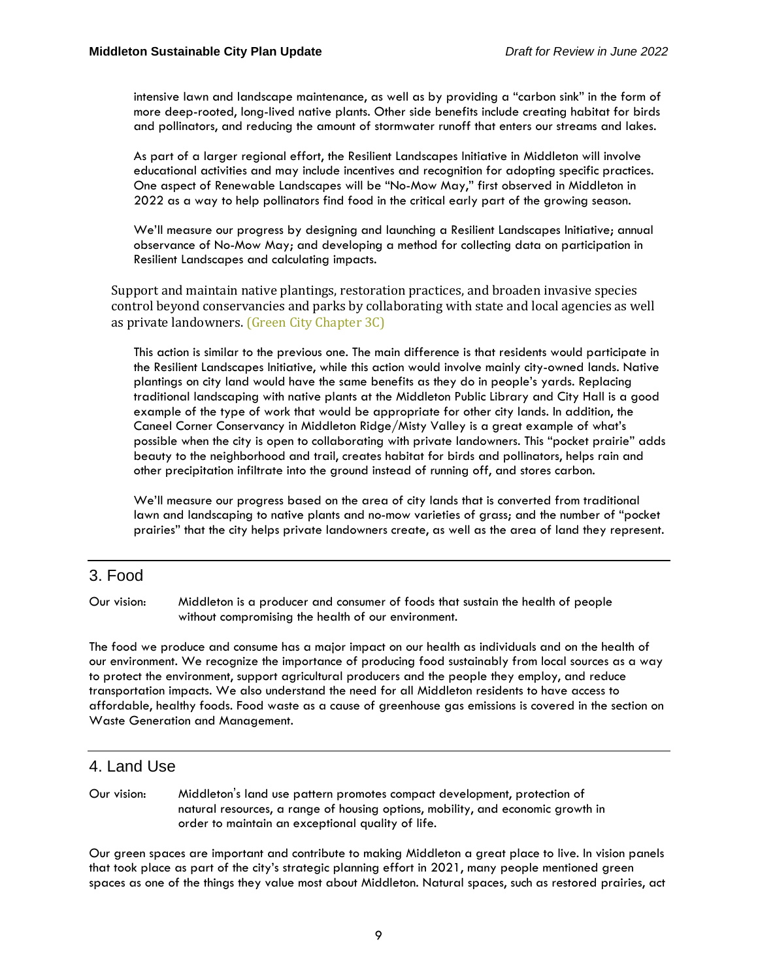intensive lawn and landscape maintenance, as well as by providing a "carbon sink" in the form of more deep-rooted, long-lived native plants. Other side benefits include creating habitat for birds and pollinators, and reducing the amount of stormwater runoff that enters our streams and lakes.

As part of a larger regional effort, the Resilient Landscapes Initiative in Middleton will involve educational activities and may include incentives and recognition for adopting specific practices. One aspect of Renewable Landscapes will be "No-Mow May," first observed in Middleton in 2022 as a way to help pollinators find food in the critical early part of the growing season.

We'll measure our progress by designing and launching a Resilient Landscapes Initiative; annual observance of No-Mow May; and developing a method for collecting data on participation in Resilient Landscapes and calculating impacts.

Support and maintain native plantings, restoration practices, and broaden invasive species control beyond conservancies and parks by collaborating with state and local agencies as well as private landowners. (Green City Chapter 3C)

This action is similar to the previous one. The main difference is that residents would participate in the Resilient Landscapes Initiative, while this action would involve mainly city-owned lands. Native plantings on city land would have the same benefits as they do in people's yards. Replacing traditional landscaping with native plants at the Middleton Public Library and City Hall is a good example of the type of work that would be appropriate for other city lands. In addition, the Caneel Corner Conservancy in Middleton Ridge/Misty Valley is a great example of what's possible when the city is open to collaborating with private landowners. This "pocket prairie" adds beauty to the neighborhood and trail, creates habitat for birds and pollinators, helps rain and other precipitation infiltrate into the ground instead of running off, and stores carbon.

We'll measure our progress based on the area of city lands that is converted from traditional lawn and landscaping to native plants and no-mow varieties of grass; and the number of "pocket prairies" that the city helps private landowners create, as well as the area of land they represent.

### 3. Food

Our vision: Middleton is a producer and consumer of foods that sustain the health of people without compromising the health of our environment.

The food we produce and consume has a major impact on our health as individuals and on the health of our environment. We recognize the importance of producing food sustainably from local sources as a way to protect the environment, support agricultural producers and the people they employ, and reduce transportation impacts. We also understand the need for all Middleton residents to have access to affordable, healthy foods. Food waste as a cause of greenhouse gas emissions is covered in the section on Waste Generation and Management.

## 4. Land Use

Our vision: Middleton's land use pattern promotes compact development, protection of natural resources, a range of housing options, mobility, and economic growth in order to maintain an exceptional quality of life.

Our green spaces are important and contribute to making Middleton a great place to live. In vision panels that took place as part of the city's strategic planning effort in 2021, many people mentioned green spaces as one of the things they value most about Middleton. Natural spaces, such as restored prairies, act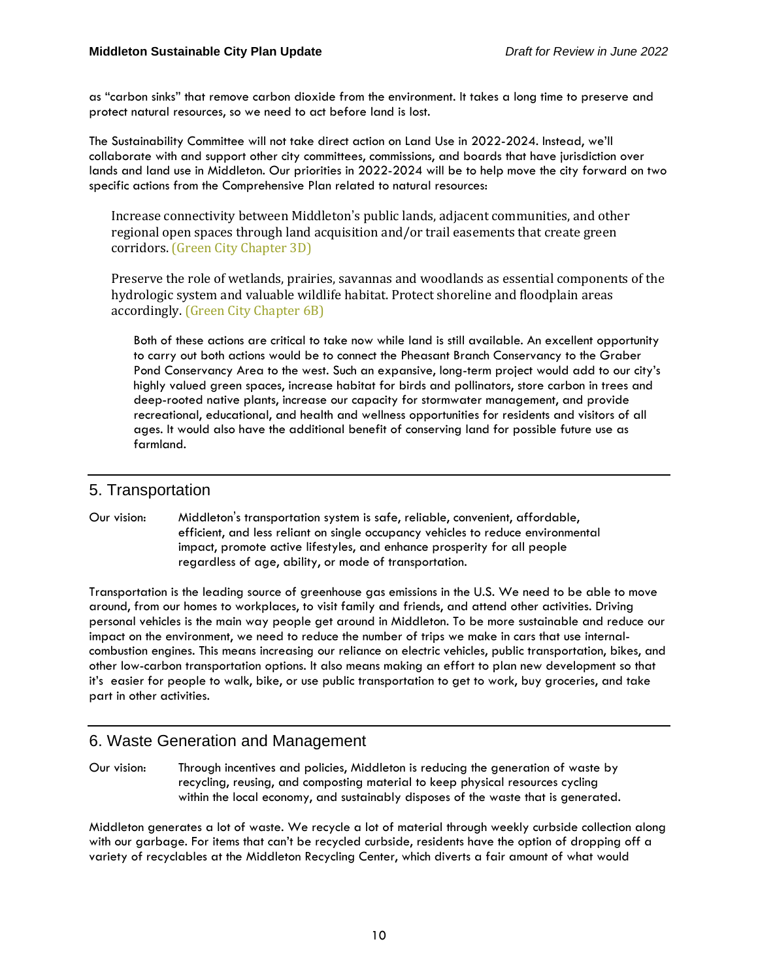as "carbon sinks" that remove carbon dioxide from the environment. It takes a long time to preserve and protect natural resources, so we need to act before land is lost.

The Sustainability Committee will not take direct action on Land Use in 2022-2024. Instead, we'll collaborate with and support other city committees, commissions, and boards that have jurisdiction over lands and land use in Middleton. Our priorities in 2022-2024 will be to help move the city forward on two specific actions from the Comprehensive Plan related to natural resources:

Increase connectivity between Middleton's public lands, adjacent communities, and other regional open spaces through land acquisition and/or trail easements that create green corridors. (Green City Chapter 3D)

Preserve the role of wetlands, prairies, savannas and woodlands as essential components of the hydrologic system and valuable wildlife habitat. Protect shoreline and floodplain areas accordingly. (Green City Chapter 6B)

Both of these actions are critical to take now while land is still available. An excellent opportunity to carry out both actions would be to connect the Pheasant Branch Conservancy to the Graber Pond Conservancy Area to the west. Such an expansive, long-term project would add to our city's highly valued green spaces, increase habitat for birds and pollinators, store carbon in trees and deep-rooted native plants, increase our capacity for stormwater management, and provide recreational, educational, and health and wellness opportunities for residents and visitors of all ages. It would also have the additional benefit of conserving land for possible future use as farmland.

## 5. Transportation

#### Our vision: Middleton's transportation system is safe, reliable, convenient, affordable, efficient, and less reliant on single occupancy vehicles to reduce environmental impact, promote active lifestyles, and enhance prosperity for all people regardless of age, ability, or mode of transportation.

Transportation is the leading source of greenhouse gas emissions in the U.S. We need to be able to move around, from our homes to workplaces, to visit family and friends, and attend other activities. Driving personal vehicles is the main way people get around in Middleton. To be more sustainable and reduce our impact on the environment, we need to reduce the number of trips we make in cars that use internalcombustion engines. This means increasing our reliance on electric vehicles, public transportation, bikes, and other low-carbon transportation options. It also means making an effort to plan new development so that it's easier for people to walk, bike, or use public transportation to get to work, buy groceries, and take part in other activities.

## 6. Waste Generation and Management

Our vision: Through incentives and policies, Middleton is reducing the generation of waste by recycling, reusing, and composting material to keep physical resources cycling within the local economy, and sustainably disposes of the waste that is generated.

Middleton generates a lot of waste. We recycle a lot of material through weekly curbside collection along with our garbage. For items that can't be recycled curbside, residents have the option of dropping off a variety of recyclables at the Middleton Recycling Center, which diverts a fair amount of what would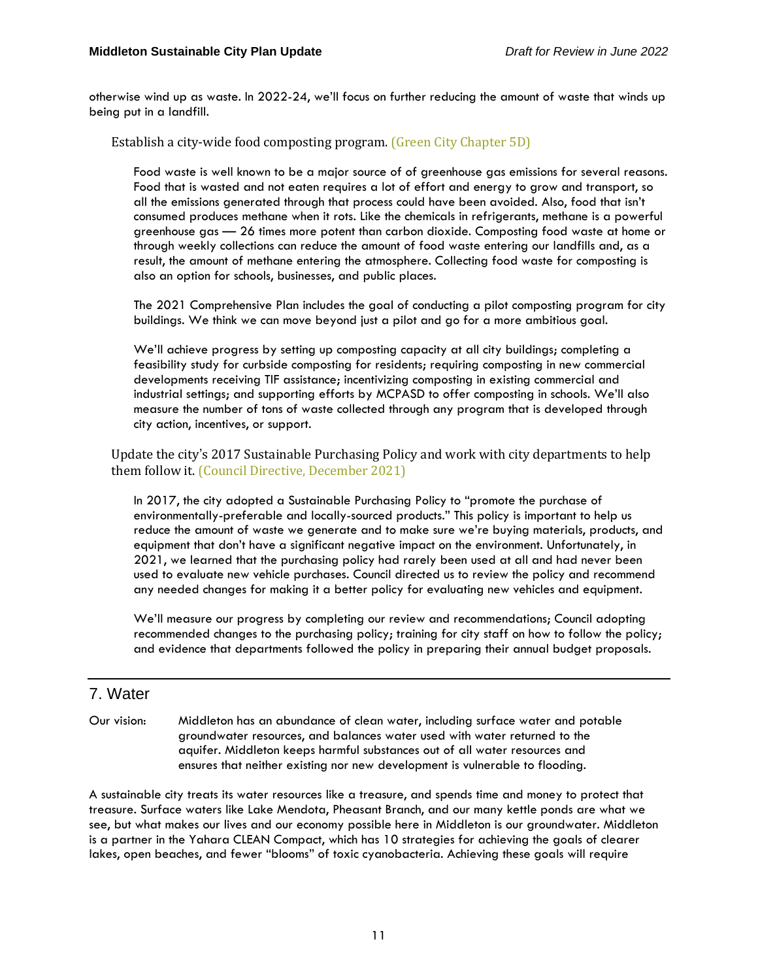otherwise wind up as waste. In 2022-24, we'll focus on further reducing the amount of waste that winds up being put in a landfill.

Establish a city-wide food composting program. (Green City Chapter 5D)

Food waste is well known to be a major source of of greenhouse gas emissions for several reasons. Food that is wasted and not eaten requires a lot of effort and energy to grow and transport, so all the emissions generated through that process could have been avoided. Also, food that isn't consumed produces methane when it rots. Like the chemicals in refrigerants, methane is a powerful greenhouse gas — 26 times more potent than carbon dioxide. Composting food waste at home or through weekly collections can reduce the amount of food waste entering our landfills and, as a result, the amount of methane entering the atmosphere. Collecting food waste for composting is also an option for schools, businesses, and public places.

The 2021 Comprehensive Plan includes the goal of conducting a pilot composting program for city buildings. We think we can move beyond just a pilot and go for a more ambitious goal.

We'll achieve progress by setting up composting capacity at all city buildings; completing a feasibility study for curbside composting for residents; requiring composting in new commercial developments receiving TIF assistance; incentivizing composting in existing commercial and industrial settings; and supporting efforts by MCPASD to offer composting in schools. We'll also measure the number of tons of waste collected through any program that is developed through city action, incentives, or support.

Update the city's 2017 Sustainable Purchasing Policy and work with city departments to help them follow it. (Council Directive, December 2021)

In 2017, the city adopted a Sustainable Purchasing Policy to "promote the purchase of environmentally-preferable and locally-sourced products." This policy is important to help us reduce the amount of waste we generate and to make sure we're buying materials, products, and equipment that don't have a significant negative impact on the environment. Unfortunately, in 2021, we learned that the purchasing policy had rarely been used at all and had never been used to evaluate new vehicle purchases. Council directed us to review the policy and recommend any needed changes for making it a better policy for evaluating new vehicles and equipment.

We'll measure our progress by completing our review and recommendations; Council adopting recommended changes to the purchasing policy; training for city staff on how to follow the policy; and evidence that departments followed the policy in preparing their annual budget proposals.

#### 7. Water

Our vision: Middleton has an abundance of clean water, including surface water and potable groundwater resources, and balances water used with water returned to the aquifer. Middleton keeps harmful substances out of all water resources and ensures that neither existing nor new development is vulnerable to flooding.

A sustainable city treats its water resources like a treasure, and spends time and money to protect that treasure. Surface waters like Lake Mendota, Pheasant Branch, and our many kettle ponds are what we see, but what makes our lives and our economy possible here in Middleton is our groundwater. Middleton is a partner in the Yahara CLEAN Compact, which has 10 strategies for achieving the goals of clearer lakes, open beaches, and fewer "blooms" of toxic cyanobacteria. Achieving these goals will require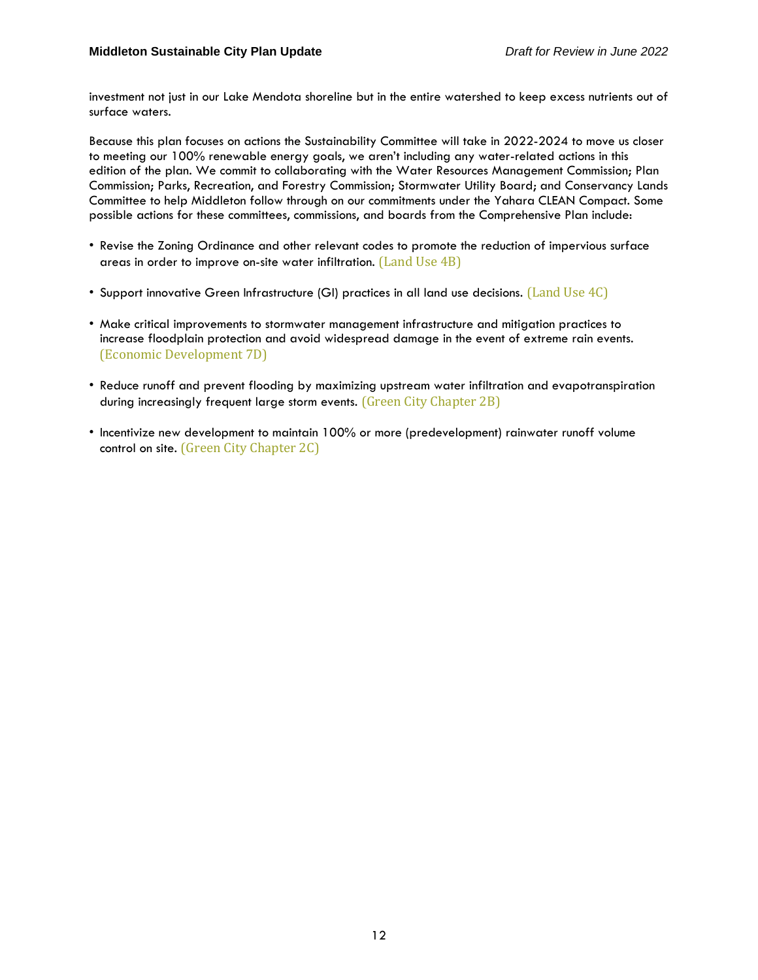investment not just in our Lake Mendota shoreline but in the entire watershed to keep excess nutrients out of surface waters.

Because this plan focuses on actions the Sustainability Committee will take in 2022-2024 to move us closer to meeting our 100% renewable energy goals, we aren't including any water-related actions in this edition of the plan. We commit to collaborating with the Water Resources Management Commission; Plan Commission; Parks, Recreation, and Forestry Commission; Stormwater Utility Board; and Conservancy Lands Committee to help Middleton follow through on our commitments under the Yahara CLEAN Compact. Some possible actions for these committees, commissions, and boards from the Comprehensive Plan include:

- Revise the Zoning Ordinance and other relevant codes to promote the reduction of impervious surface areas in order to improve on-site water infiltration. (Land Use 4B)
- Support innovative Green Infrastructure (GI) practices in all land use decisions. (Land Use 4C)
- Make critical improvements to stormwater management infrastructure and mitigation practices to increase floodplain protection and avoid widespread damage in the event of extreme rain events. (Economic Development 7D)
- Reduce runoff and prevent flooding by maximizing upstream water infiltration and evapotranspiration during increasingly frequent large storm events. (Green City Chapter 2B)
- Incentivize new development to maintain 100% or more (predevelopment) rainwater runoff volume control on site. (Green City Chapter 2C)